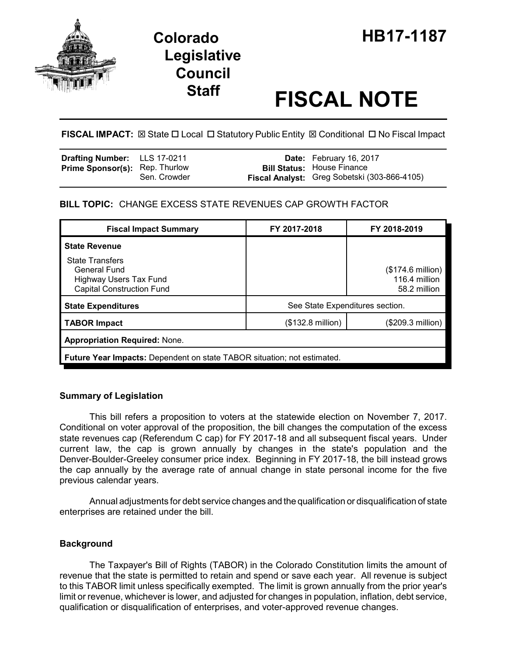

# **Legislative Council**

# **Staff FISCAL NOTE**

# **FISCAL IMPACT:**  $\boxtimes$  **State □ Local □ Statutory Public Entity**  $\boxtimes$  **Conditional □ No Fiscal Impact**

| Drafting Number: LLS 17-0211          |              | <b>Date:</b> February 16, 2017                                                    |
|---------------------------------------|--------------|-----------------------------------------------------------------------------------|
| <b>Prime Sponsor(s): Rep. Thurlow</b> | Sen. Crowder | <b>Bill Status:</b> House Finance<br>Fiscal Analyst: Greg Sobetski (303-866-4105) |

# **BILL TOPIC:** CHANGE EXCESS STATE REVENUES CAP GROWTH FACTOR

| <b>Fiscal Impact Summary</b>                                                                                | FY 2017-2018                    | FY 2018-2019                                                |  |  |
|-------------------------------------------------------------------------------------------------------------|---------------------------------|-------------------------------------------------------------|--|--|
| <b>State Revenue</b>                                                                                        |                                 |                                                             |  |  |
| <b>State Transfers</b><br>General Fund<br><b>Highway Users Tax Fund</b><br><b>Capital Construction Fund</b> |                                 | $($174.6 \text{ million})$<br>116.4 million<br>58.2 million |  |  |
| <b>State Expenditures</b>                                                                                   | See State Expenditures section. |                                                             |  |  |
| <b>TABOR Impact</b>                                                                                         | $($132.8 \text{ million})$      | (\$209.3 million)                                           |  |  |
| <b>Appropriation Required: None.</b>                                                                        |                                 |                                                             |  |  |
| <b>Future Year Impacts:</b> Dependent on state TABOR situation; not estimated.                              |                                 |                                                             |  |  |

# **Summary of Legislation**

This bill refers a proposition to voters at the statewide election on November 7, 2017. Conditional on voter approval of the proposition, the bill changes the computation of the excess state revenues cap (Referendum C cap) for FY 2017-18 and all subsequent fiscal years. Under current law, the cap is grown annually by changes in the state's population and the Denver-Boulder-Greeley consumer price index. Beginning in FY 2017-18, the bill instead grows the cap annually by the average rate of annual change in state personal income for the five previous calendar years.

Annual adjustments for debt service changes and the qualification or disqualification of state enterprises are retained under the bill.

# **Background**

The Taxpayer's Bill of Rights (TABOR) in the Colorado Constitution limits the amount of revenue that the state is permitted to retain and spend or save each year. All revenue is subject to this TABOR limit unless specifically exempted. The limit is grown annually from the prior year's limit or revenue, whichever is lower, and adjusted for changes in population, inflation, debt service, qualification or disqualification of enterprises, and voter-approved revenue changes.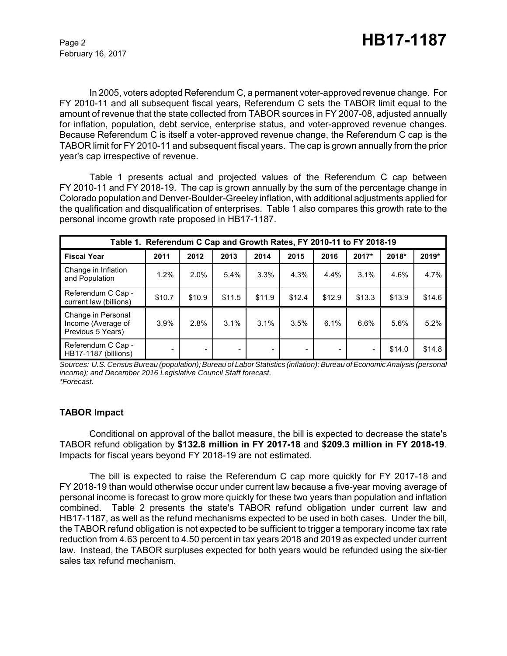In 2005, voters adopted Referendum C, a permanent voter-approved revenue change. For FY 2010-11 and all subsequent fiscal years, Referendum C sets the TABOR limit equal to the amount of revenue that the state collected from TABOR sources in FY 2007-08, adjusted annually for inflation, population, debt service, enterprise status, and voter-approved revenue changes. Because Referendum C is itself a voter-approved revenue change, the Referendum C cap is the TABOR limit for FY 2010-11 and subsequent fiscal years. The cap is grown annually from the prior year's cap irrespective of revenue.

Table 1 presents actual and projected values of the Referendum C cap between FY 2010-11 and FY 2018-19. The cap is grown annually by the sum of the percentage change in Colorado population and Denver-Boulder-Greeley inflation, with additional adjustments applied for the qualification and disqualification of enterprises. Table 1 also compares this growth rate to the personal income growth rate proposed in HB17-1187.

| Table 1. Referendum C Cap and Growth Rates, FY 2010-11 to FY 2018-19 |        |        |        |        |        |        |        |        |        |
|----------------------------------------------------------------------|--------|--------|--------|--------|--------|--------|--------|--------|--------|
| <b>Fiscal Year</b>                                                   | 2011   | 2012   | 2013   | 2014   | 2015   | 2016   | 2017*  | 2018*  | 2019*  |
| Change in Inflation<br>and Population                                | 1.2%   | 2.0%   | 5.4%   | 3.3%   | 4.3%   | 4.4%   | 3.1%   | 4.6%   | 4.7%   |
| Referendum C Cap -<br>current law (billions)                         | \$10.7 | \$10.9 | \$11.5 | \$11.9 | \$12.4 | \$12.9 | \$13.3 | \$13.9 | \$14.6 |
| Change in Personal<br>Income (Average of<br>Previous 5 Years)        | 3.9%   | 2.8%   | 3.1%   | 3.1%   | 3.5%   | 6.1%   | 6.6%   | 5.6%   | 5.2%   |
| Referendum C Cap -<br>HB17-1187 (billions)                           |        |        |        |        |        |        |        | \$14.0 | \$14.8 |

*Sources: U.S. Census Bureau (population); Bureau of Labor Statistics (inflation); Bureau of Economic Analysis (personal income); and December 2016 Legislative Council Staff forecast. \*Forecast.*

#### **TABOR Impact**

Conditional on approval of the ballot measure, the bill is expected to decrease the state's TABOR refund obligation by **\$132.8 million in FY 2017-18** and **\$209.3 million in FY 2018-19**. Impacts for fiscal years beyond FY 2018-19 are not estimated.

The bill is expected to raise the Referendum C cap more quickly for FY 2017-18 and FY 2018-19 than would otherwise occur under current law because a five-year moving average of personal income is forecast to grow more quickly for these two years than population and inflation combined. Table 2 presents the state's TABOR refund obligation under current law and HB17-1187, as well as the refund mechanisms expected to be used in both cases. Under the bill, the TABOR refund obligation is not expected to be sufficient to trigger a temporary income tax rate reduction from 4.63 percent to 4.50 percent in tax years 2018 and 2019 as expected under current law. Instead, the TABOR surpluses expected for both years would be refunded using the six-tier sales tax refund mechanism.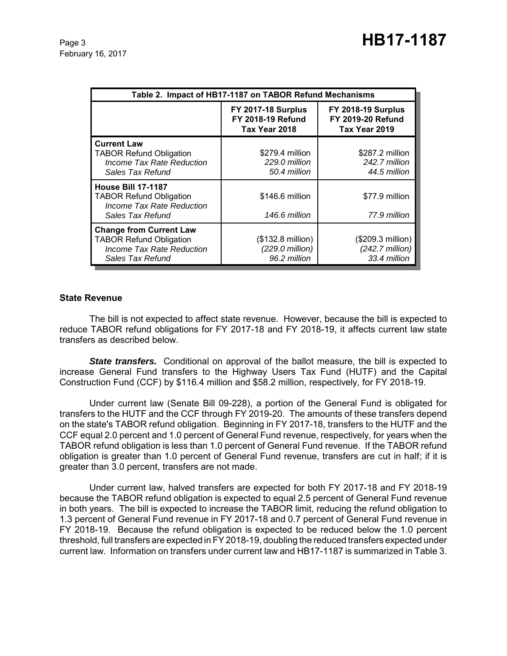February 16, 2017

| Table 2. Impact of HB17-1187 on TABOR Refund Mechanisms                                                           |                                                                        |                                                                        |  |  |
|-------------------------------------------------------------------------------------------------------------------|------------------------------------------------------------------------|------------------------------------------------------------------------|--|--|
|                                                                                                                   | <b>FY 2017-18 Surplus</b><br><b>FY 2018-19 Refund</b><br>Tax Year 2018 | <b>FY 2018-19 Surplus</b><br><b>FY 2019-20 Refund</b><br>Tax Year 2019 |  |  |
| <b>Current Law</b><br><b>TABOR Refund Obligation</b><br>Income Tax Rate Reduction<br>Sales Tax Refund             | \$279.4 million<br>229.0 million<br>50.4 million                       | \$287.2 million<br>242.7 million<br>44.5 million                       |  |  |
| <b>House Bill 17-1187</b><br><b>TABOR Refund Obligation</b><br>Income Tax Rate Reduction<br>Sales Tax Refund      | \$146.6 million<br>146.6 million                                       | \$77.9 million<br>77.9 million                                         |  |  |
| <b>Change from Current Law</b><br><b>TABOR Refund Obligation</b><br>Income Tax Rate Reduction<br>Sales Tax Refund | (\$132.8 million)<br>(229.0 million)<br>96.2 million                   | (\$209.3 million)<br>$(242.7$ million)<br>33.4 million                 |  |  |

#### **State Revenue**

The bill is not expected to affect state revenue. However, because the bill is expected to reduce TABOR refund obligations for FY 2017-18 and FY 2018-19, it affects current law state transfers as described below.

**State transfers.** Conditional on approval of the ballot measure, the bill is expected to increase General Fund transfers to the Highway Users Tax Fund (HUTF) and the Capital Construction Fund (CCF) by \$116.4 million and \$58.2 million, respectively, for FY 2018-19.

Under current law (Senate Bill 09-228), a portion of the General Fund is obligated for transfers to the HUTF and the CCF through FY 2019-20. The amounts of these transfers depend on the state's TABOR refund obligation. Beginning in FY 2017-18, transfers to the HUTF and the CCF equal 2.0 percent and 1.0 percent of General Fund revenue, respectively, for years when the TABOR refund obligation is less than 1.0 percent of General Fund revenue. If the TABOR refund obligation is greater than 1.0 percent of General Fund revenue, transfers are cut in half; if it is greater than 3.0 percent, transfers are not made.

Under current law, halved transfers are expected for both FY 2017-18 and FY 2018-19 because the TABOR refund obligation is expected to equal 2.5 percent of General Fund revenue in both years. The bill is expected to increase the TABOR limit, reducing the refund obligation to 1.3 percent of General Fund revenue in FY 2017-18 and 0.7 percent of General Fund revenue in FY 2018-19. Because the refund obligation is expected to be reduced below the 1.0 percent threshold, full transfers are expected in FY 2018-19, doubling the reduced transfers expected under current law. Information on transfers under current law and HB17-1187 is summarized in Table 3.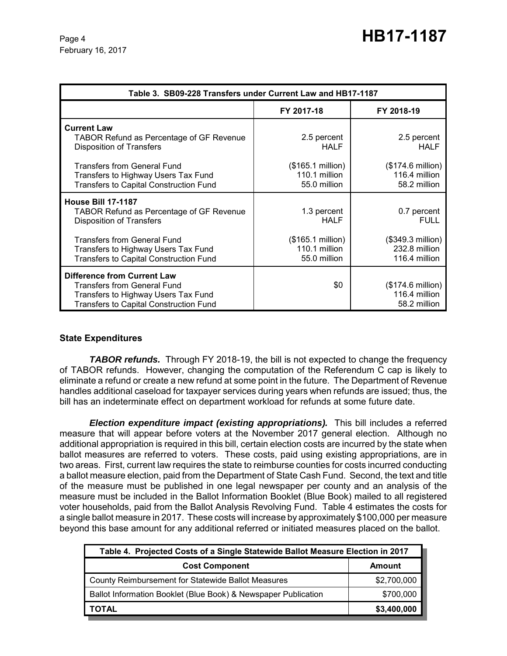| Table 3. SB09-228 Transfers under Current Law and HB17-1187                                                                                                      |                                                             |                                                     |  |  |
|------------------------------------------------------------------------------------------------------------------------------------------------------------------|-------------------------------------------------------------|-----------------------------------------------------|--|--|
|                                                                                                                                                                  | FY 2017-18                                                  | FY 2018-19                                          |  |  |
| <b>Current Law</b><br><b>TABOR Refund as Percentage of GF Revenue</b><br><b>Disposition of Transfers</b>                                                         | 2.5 percent<br><b>HALF</b>                                  | 2.5 percent<br><b>HALF</b>                          |  |  |
| <b>Transfers from General Fund</b><br>Transfers to Highway Users Tax Fund<br><b>Transfers to Capital Construction Fund</b>                                       | $($165.1 \text{ million})$<br>110.1 million<br>55.0 million | (\$174.6 million)<br>116.4 million<br>58.2 million  |  |  |
| <b>House Bill 17-1187</b><br><b>TABOR Refund as Percentage of GF Revenue</b><br><b>Disposition of Transfers</b>                                                  | 1.3 percent<br><b>HALF</b>                                  | 0.7 percent<br><b>FULL</b>                          |  |  |
| <b>Transfers from General Fund</b><br>Transfers to Highway Users Tax Fund<br>Transfers to Capital Construction Fund                                              | $($165.1 \text{ million})$<br>110.1 million<br>55.0 million | (\$349.3 million)<br>232.8 million<br>116.4 million |  |  |
| <b>Difference from Current Law</b><br><b>Transfers from General Fund</b><br>Transfers to Highway Users Tax Fund<br><b>Transfers to Capital Construction Fund</b> | \$0                                                         | (\$174.6 million)<br>116.4 million<br>58.2 million  |  |  |

#### **State Expenditures**

**TABOR refunds.** Through FY 2018-19, the bill is not expected to change the frequency of TABOR refunds. However, changing the computation of the Referendum C cap is likely to eliminate a refund or create a new refund at some point in the future. The Department of Revenue handles additional caseload for taxpayer services during years when refunds are issued; thus, the bill has an indeterminate effect on department workload for refunds at some future date.

*Election expenditure impact (existing appropriations).* This bill includes a referred measure that will appear before voters at the November 2017 general election. Although no additional appropriation is required in this bill, certain election costs are incurred by the state when ballot measures are referred to voters. These costs, paid using existing appropriations, are in two areas. First, current law requires the state to reimburse counties for costs incurred conducting a ballot measure election, paid from the Department of State Cash Fund. Second, the text and title of the measure must be published in one legal newspaper per county and an analysis of the measure must be included in the Ballot Information Booklet (Blue Book) mailed to all registered voter households, paid from the Ballot Analysis Revolving Fund. Table 4 estimates the costs for a single ballot measure in 2017. These costs will increase by approximately \$100,000 per measure beyond this base amount for any additional referred or initiated measures placed on the ballot.

| Table 4. Projected Costs of a Single Statewide Ballot Measure Election in 2017 |             |  |  |
|--------------------------------------------------------------------------------|-------------|--|--|
| <b>Cost Component</b>                                                          | Amount      |  |  |
| County Reimbursement for Statewide Ballot Measures                             | \$2,700,000 |  |  |
| Ballot Information Booklet (Blue Book) & Newspaper Publication                 | \$700,000   |  |  |
| TOTAL                                                                          | \$3,400,000 |  |  |